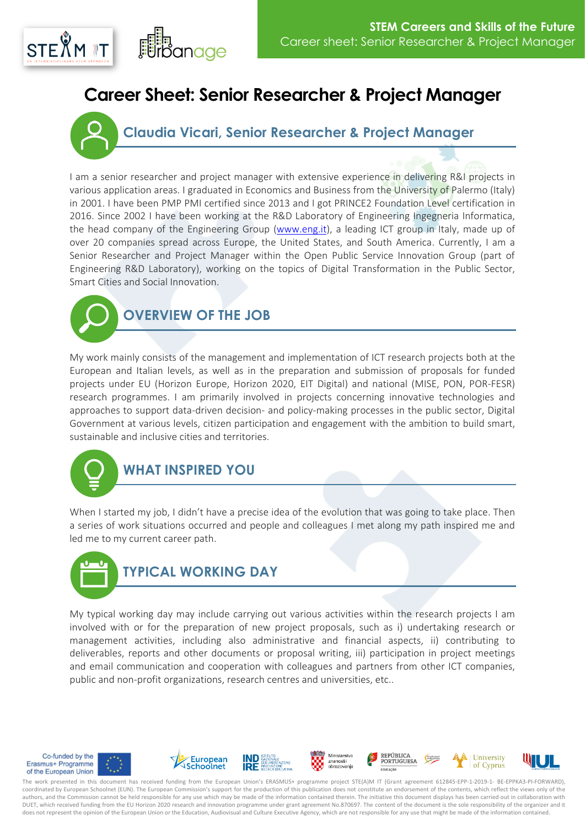## $STF\overset{\circ}{X}M \times T$

## **Career Sheet: Senior Researcher & Project Manager**

**Claudia Vicari, Senior Researcher & Project Manager**

I am a senior researcher and project manager with extensive experience in delivering R&I projects in various application areas. I graduated in Economics and Business from the University of Palermo (Italy) in 2001. I have been PMP PMI certified since 2013 and I got PRINCE2 Foundation Level certification in 2016. Since 2002 I have been working at the R&D Laboratory of Engineering Ingegneria Informatica, the head company of the Engineering Group [\(www.eng.it\)](http://www.eng.it/), a leading ICT group in Italy, made up of over 20 companies spread across Europe, the United States, and South America. Currently, I am a Senior Researcher and Project Manager within the Open Public Service Innovation Group (part of Engineering R&D Laboratory), working on the topics of Digital Transformation in the Public Sector, Smart Cities and Social Innovation.



My work mainly consists of the management and implementation of ICT research projects both at the European and Italian levels, as well as in the preparation and submission of proposals for funded projects under EU (Horizon Europe, Horizon 2020, EIT Digital) and national (MISE, PON, POR-FESR) research programmes. I am primarily involved in projects concerning innovative technologies and approaches to support data-driven decision- and policy-making processes in the public sector, Digital Government at various levels, citizen participation and engagement with the ambition to build smart, sustainable and inclusive cities and territories.



## **WHAT INSPIRED YOU**

When I started my job, I didn't have a precise idea of the evolution that was going to take place. Then a series of work situations occurred and people and colleagues I met along my path inspired me and led me to my current career path.



My typical working day may include carrying out various activities within the research projects I am involved with or for the preparation of new project proposals, such as i) undertaking research or management activities, including also administrative and financial aspects, ii) contributing to deliverables, reports and other documents or proposal writing, iii) participation in project meetings and email communication and cooperation with colleagues and partners from other ICT companies, public and non-profit organizations, research centres and universities, etc..



The work presented in this document has received funding from the European Union's ERASMUS+ programme project STE(A)M IT (Grant agreement 612845-EPP-1-2019-1- BE-EPPKA3-PI-FORWARD), coordinated by European Schoolnet (EUN). The European Commission's support for the production of this publication does not constitute an endorsement of the contents, which reflect the views only of the authors, and the Commission cannot be held responsible for any use which may be made of the information contained therein. The initiative this document displays has been carried out in collaboration with DUET, which received funding from the EU Horizon 2020 research and innovation programme under grant agreement No.870697. The content of the document is the sole responsibility of the organizer and it does not represent the opinion of the European Union or the Education, Audiovisual and Culture Executive Agency, which are not responsible for any use that might be made of the information contained.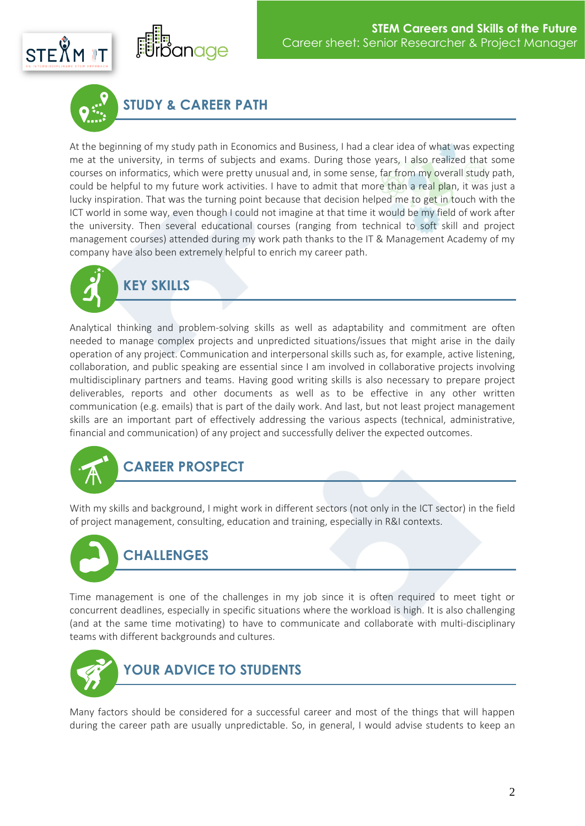

**STUDY & CAREER PATH**

anage

At the beginning of my study path in Economics and Business, I had a clear idea of what was expecting me at the university, in terms of subjects and exams. During those years, I also realized that some courses on informatics, which were pretty unusual and, in some sense, far from my overall study path, could be helpful to my future work activities. I have to admit that more than a real plan, it was just a lucky inspiration. That was the turning point because that decision helped me to get in touch with the ICT world in some way, even though I could not imagine at that time it would be my field of work after the university. Then several educational courses (ranging from technical to soft skill and project management courses) attended during my work path thanks to the IT & Management Academy of my company have also been extremely helpful to enrich my career path.



Analytical thinking and problem-solving skills as well as adaptability and commitment are often needed to manage complex projects and unpredicted situations/issues that might arise in the daily operation of any project. Communication and interpersonal skills such as, for example, active listening, collaboration, and public speaking are essential since I am involved in collaborative projects involving multidisciplinary partners and teams. Having good writing skills is also necessary to prepare project deliverables, reports and other documents as well as to be effective in any other written communication (e.g. emails) that is part of the daily work. And last, but not least project management skills are an important part of effectively addressing the various aspects (technical, administrative, financial and communication) of any project and successfully deliver the expected outcomes.



With my skills and background, I might work in different sectors (not only in the ICT sector) in the field of project management, consulting, education and training, especially in R&I contexts.



Time management is one of the challenges in my job since it is often required to meet tight or concurrent deadlines, especially in specific situations where the workload is high. It is also challenging (and at the same time motivating) to have to communicate and collaborate with multi-disciplinary teams with different backgrounds and cultures.



Many factors should be considered for a successful career and most of the things that will happen during the career path are usually unpredictable. So, in general, I would advise students to keep an